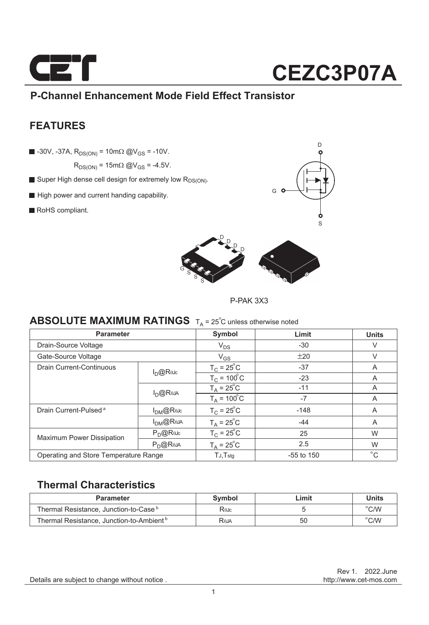

### **P-Channel Enhancement Mode Field Effect Transistor**

### **FEATURES**

 $\blacksquare$  -30V, -37A,  $R_{DS(ON)} = 10 \text{m}\Omega \text{ @V_{GS}} = -10 \text{V}$ .

 $R_{DS(ON)} = 15 \text{m}\Omega \text{ @V_{GS} = -4.5V.}$ 

- Super High dense cell design for extremely low  $R_{DS(ON)}$ .
- High power and current handing capability.
- RoHS compliant.





P-PAK 3X3

### **ABSOLUTE MAXIMUM RATINGS**  $T_A = 25^\circ C$  unless otherwise noted

| <b>Parameter</b>                      |                      | Symbol                | Limit        | <b>Units</b> |
|---------------------------------------|----------------------|-----------------------|--------------|--------------|
| Drain-Source Voltage                  |                      | $V_{DS}$              | $-30$        | V            |
| Gate-Source Voltage                   |                      | $V_{GS}$              | ±20          | V            |
| Drain Current-Continuous              | $I_{D}@R$ $\omega$ c | $T_c = 25^{\circ}C$   | $-37$        | A            |
|                                       |                      | $TC = 100oC$          | $-23$        | A            |
|                                       | $I_{D}$ @Reja        | $T_A = 25^{\circ}C$   | $-11$        | A            |
|                                       |                      | $T_A = 100^{\circ}$ C | $-7$         | A            |
| Drain Current-Pulsed <sup>a</sup>     | $I_{DM}$ @Rejc       | $T_C = 25^\circ C$    | $-148$       | A            |
|                                       | $I_{DM}$ @Reja       | $T_A = 25^\circ C$    | $-44$        | A            |
| <b>Maximum Power Dissipation</b>      | $P_{\cap}$ @ReJc     | $T_c = 25^{\circ}C$   | 25           | W            |
|                                       | $P_D$ @Reja          | $T_A = 25^{\circ}C$   | 2.5          | W            |
| Operating and Store Temperature Range |                      | $TJ$ , $Tstq$         | $-55$ to 150 | $^{\circ}$ C |

### **Thermal Characteristics**

| <b>Parameter</b>                                     | Svmbol | Limit | Units                   |
|------------------------------------------------------|--------|-------|-------------------------|
| Thermal Resistance, Junction-to-Case <sup>b</sup>    | Rejc   |       | $\mathrm{C}/\mathrm{W}$ |
| Thermal Resistance, Junction-to-Ambient <sup>b</sup> | Reja   | 50    | $\degree$ C/W           |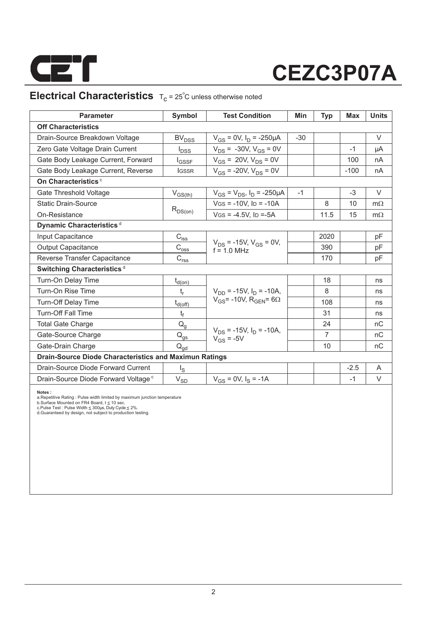

### **Electrical Characteristics**  $T_c = 25^\circ C$  unless otherwise noted

| <b>Parameter</b>                                              | Symbol                                                                | <b>Test Condition</b>                            | Min   | <b>Typ</b>     | Max    | <b>Units</b> |  |
|---------------------------------------------------------------|-----------------------------------------------------------------------|--------------------------------------------------|-------|----------------|--------|--------------|--|
| <b>Off Characteristics</b>                                    |                                                                       |                                                  |       |                |        |              |  |
| Drain-Source Breakdown Voltage                                | BV <sub>DSS</sub>                                                     | $V_{GS}$ = 0V, $I_D$ = -250µA                    | $-30$ |                |        | V            |  |
| Zero Gate Voltage Drain Current                               | $I_{DSS}$                                                             | $V_{DS}$ = -30V, $V_{GS}$ = 0V                   |       |                | $-1$   | μA           |  |
| Gate Body Leakage Current, Forward                            | $I_{GSSF}$                                                            | $V_{GS}$ = 20V, $V_{DS}$ = 0V                    |       |                | 100    | nA           |  |
| Gate Body Leakage Current, Reverse                            | <b>IGSSR</b>                                                          | $V_{GS}$ = -20V, $V_{DS}$ = 0V                   |       |                | $-100$ | nA           |  |
| On Characteristics <sup>c</sup>                               |                                                                       |                                                  |       |                |        |              |  |
| Gate Threshold Voltage                                        | $V_{GS(th)}$                                                          | $V_{GS} = V_{DS}$ , $I_D = -250 \mu A$           | $-1$  |                | $-3$   | $\vee$       |  |
| <b>Static Drain-Source</b>                                    |                                                                       | $V$ GS = -10V. ID = -10A                         |       | 8              | 10     | $m\Omega$    |  |
| On-Resistance                                                 | $R_{DS(on)}$                                                          | $V$ GS = -4.5V. ID =-5A                          |       | 11.5           | 15     | $m\Omega$    |  |
| Dynamic Characteristics <sup>d</sup>                          |                                                                       |                                                  |       |                |        |              |  |
| Input Capacitance                                             | $C_{\text{iss}}$                                                      |                                                  |       | 2020           |        | pF           |  |
| <b>Output Capacitance</b>                                     | $\text{C}_{\text{oss}}$                                               | $V_{DS}$ = -15V, $V_{GS}$ = 0V,<br>$f = 1.0$ MHz |       | 390            |        | pF           |  |
| Reverse Transfer Capacitance                                  | $\mathsf{C}_{\mathsf{r}\underline{\mathsf{s}}\underline{\mathsf{s}}}$ |                                                  |       | 170            |        | pF           |  |
| Switching Characteristics <sup>d</sup>                        |                                                                       |                                                  |       |                |        |              |  |
| Turn-On Delay Time                                            | $t_{d(on)}$                                                           |                                                  |       | 18             |        | ns           |  |
| Turn-On Rise Time                                             | $t_r$                                                                 | $V_{DD}$ = -15V, $I_D$ = -10A,                   |       | 8              |        | ns           |  |
| <b>Turn-Off Delay Time</b>                                    | $t_{d(\text{off})}$                                                   | $V_{GS}$ = -10V, R <sub>GEN</sub> = 6 $\Omega$   |       | 108            |        | ns           |  |
| <b>Turn-Off Fall Time</b>                                     | $t_f$                                                                 |                                                  |       | 31             |        | ns           |  |
| <b>Total Gate Charge</b>                                      | $Q_q$                                                                 |                                                  |       | 24             |        | nC           |  |
| Gate-Source Charge                                            | $\mathsf{Q}_{\text{g}\underline{s}}$                                  | $V_{DS}$ = -15V, $I_D$ = -10A,<br>$V_{GS} = -5V$ |       | $\overline{7}$ |        | nC           |  |
| Gate-Drain Charge                                             | $Q_{qd}$                                                              |                                                  |       | 10             |        | nC           |  |
| <b>Drain-Source Diode Characteristics and Maximun Ratings</b> |                                                                       |                                                  |       |                |        |              |  |
| Drain-Source Diode Forward Current                            | $\lg$                                                                 |                                                  |       |                | $-2.5$ | A            |  |
| Drain-Source Diode Forward Voltage <sup>c</sup>               | $V_{SD}$                                                              | $V_{GS} = 0V$ , $I_S = -1A$                      |       |                | $-1$   | V            |  |

**Notes :**<br>a.Repetitive Rating : Pulse width limited by maximum junction temperature<br>b.Surface Mounted on FR4 Board, t ≤ 10 sec.<br>c.Pulse Test : Pulse Width ≤ 300µs, Duly Cyde ≤ 2%.<br>d.Guaranteed by design, not subject to pr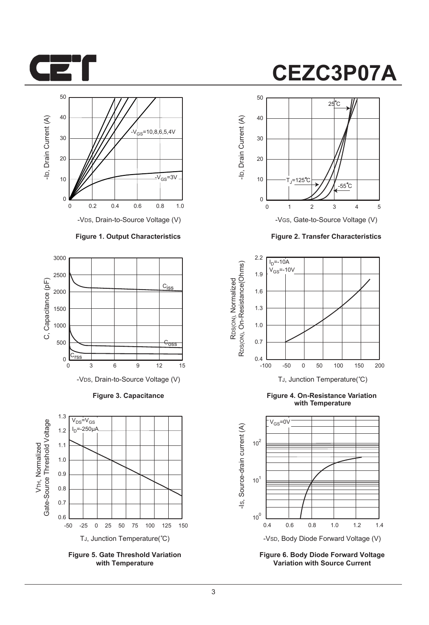



-VDS, Drain-to-Source Voltage (V)

#### **Figure 1. Output Characteristics**



**Figure 3. Capacitance**



**Figure 5. Gate Threshold Variation with Temperature**

### **CEZC3P07A**



-VGS, Gate-to-Source Voltage (V)

**Figure 2. Transfer Characteristics**



**Figure 4. On-Resistance Variation with Temperature**



**Figure 6. Body Diode Forward Voltage Variation with Source Current**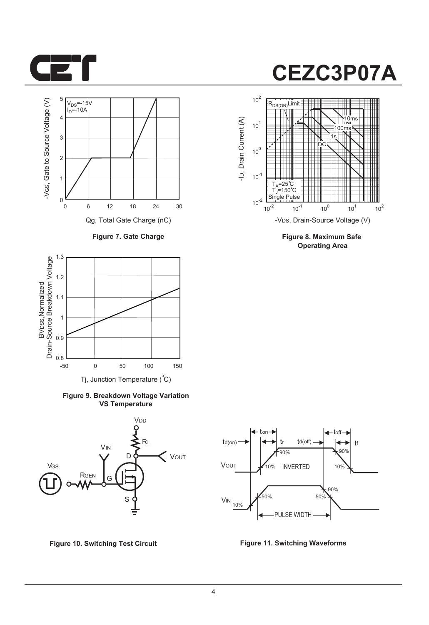



**Figure 7. Gate Charge**



**Figure 9. Breakdown Voltage Variation VS Temperature**



**Figure 10. Switching Test Circuit Figure 11. Switching Waveforms**



**Figure 8. Maximum Safe Operating Area**

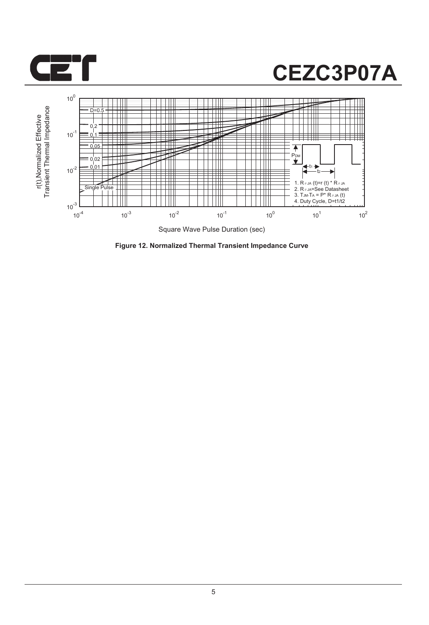



**Figure 12. Normalized Thermal Transient Impedance Curve**

5